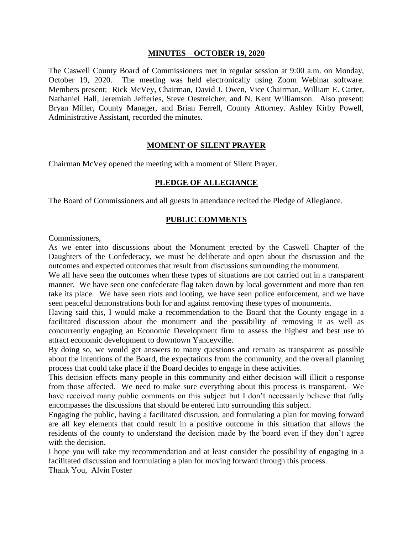#### **MINUTES – OCTOBER 19, 2020**

The Caswell County Board of Commissioners met in regular session at 9:00 a.m. on Monday, October 19, 2020. The meeting was held electronically using Zoom Webinar software. Members present: Rick McVey, Chairman, David J. Owen, Vice Chairman, William E. Carter, Nathaniel Hall, Jeremiah Jefferies, Steve Oestreicher, and N. Kent Williamson. Also present: Bryan Miller, County Manager, and Brian Ferrell, County Attorney. Ashley Kirby Powell, Administrative Assistant, recorded the minutes.

#### **MOMENT OF SILENT PRAYER**

Chairman McVey opened the meeting with a moment of Silent Prayer.

### **PLEDGE OF ALLEGIANCE**

The Board of Commissioners and all guests in attendance recited the Pledge of Allegiance.

#### **PUBLIC COMMENTS**

Commissioners,

As we enter into discussions about the Monument erected by the Caswell Chapter of the Daughters of the Confederacy, we must be deliberate and open about the discussion and the outcomes and expected outcomes that result from discussions surrounding the monument.

We all have seen the outcomes when these types of situations are not carried out in a transparent manner. We have seen one confederate flag taken down by local government and more than ten take its place. We have seen riots and looting, we have seen police enforcement, and we have seen peaceful demonstrations both for and against removing these types of monuments.

Having said this, I would make a recommendation to the Board that the County engage in a facilitated discussion about the monument and the possibility of removing it as well as concurrently engaging an Economic Development firm to assess the highest and best use to attract economic development to downtown Yanceyville.

By doing so, we would get answers to many questions and remain as transparent as possible about the intentions of the Board, the expectations from the community, and the overall planning process that could take place if the Board decides to engage in these activities.

This decision effects many people in this community and either decision will illicit a response from those affected. We need to make sure everything about this process is transparent. We have received many public comments on this subject but I don't necessarily believe that fully encompasses the discussions that should be entered into surrounding this subject.

Engaging the public, having a facilitated discussion, and formulating a plan for moving forward are all key elements that could result in a positive outcome in this situation that allows the residents of the county to understand the decision made by the board even if they don't agree with the decision.

I hope you will take my recommendation and at least consider the possibility of engaging in a facilitated discussion and formulating a plan for moving forward through this process.

Thank You, Alvin Foster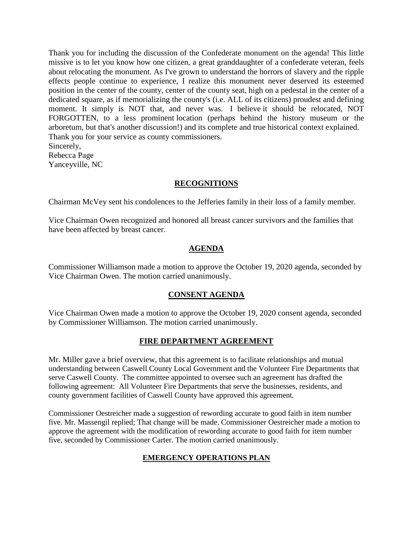Thank you for including the discussion of the Confederate monument on the agenda! This little missive is to let you know how one citizen, a great granddaughter of a confederate veteran, feels about relocating the monument. As I've grown to understand the horrors of slavery and the ripple effects people continue to experience, I realize this monument never deserved its esteemed position in the center of the county, center of the county seat, high on a pedestal in the center of a dedicated square, as if memorializing the county's (i.e. ALL of its citizens) proudest and defining moment. It simply is NOT that, and never was. I believe it should be relocated, NOT FORGOTTEN, to a less prominent location (perhaps behind the history museum or the arboretum, but that's another discussion!) and its complete and true historical context explained. Thank you for your service as county commissioners. Sincerely, Rebecca Page

Yanceyville, NC

## **RECOGNITIONS**

Chairman McVey sent his condolences to the Jefferies family in their loss of a family member.

Vice Chairman Owen recognized and honored all breast cancer survivors and the families that have been affected by breast cancer.

## **AGENDA**

Commissioner Williamson made a motion to approve the October 19, 2020 agenda, seconded by Vice Chairman Owen. The motion carried unanimously.

## **CONSENT AGENDA**

Vice Chairman Owen made a motion to approve the October 19, 2020 consent agenda, seconded by Commissioner Williamson. The motion carried unanimously.

## **FIRE DEPARTMENT AGREEMENT**

Mr. Miller gave a brief overview, that this agreement is to facilitate relationships and mutual understanding between Caswell County Local Government and the Volunteer Fire Departments that serve Caswell County. The committee appointed to oversee such an agreement has drafted the following agreement: All Volunteer Fire Departments that serve the businesses, residents, and county government facilities of Caswell County have approved this agreement.

Commissioner Oestreicher made a suggestion of rewording accurate to good faith in item number five. Mr. Massengil replied; That change will be made. Commissioner Oestreicher made a motion to approve the agreement with the modification of rewording accurate to good faith for item number five, seconded by Commissioner Carter. The motion carried unanimously.

# **EMERGENCY OPERATIONS PLAN**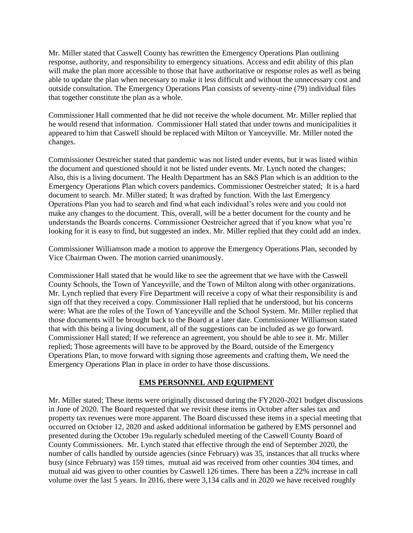Mr. Miller stated that Caswell County has rewritten the Emergency Operations Plan outlining response, authority, and responsibility to emergency situations. Access and edit ability of this plan will make the plan more accessible to those that have authoritative or response roles as well as being able to update the plan when necessary to make it less difficult and without the unnecessary cost and outside consultation. The Emergency Operations Plan consists of seventy-nine (79) individual files that together constitute the plan as a whole.

Commissioner Hall commented that he did not receive the whole document. Mr. Miller replied that he would resend that information. Commissioner Hall stated that under towns and municipalities it appeared to him that Caswell should be replaced with Milton or Yanceyville. Mr. Miller noted the changes.

Commissioner Oestreicher stated that pandemic was not listed under events, but it was listed within the document and questioned should it not be listed under events. Mr. Lynch noted the changes; Also, this is a living document. The Health Department has an S&S Plan which is an addition to the Emergency Operations Plan which covers pandemics. Commissioner Oestreicher stated; It is a hard document to search. Mr. Miller stated; It was drafted by function. With the last Emergency Operations Plan you had to search and find what each individual's roles were and you could not make any changes to the document. This, overall, will be a better document for the county and he understands the Boards concerns. Commissioner Oestreicher agreed that if you know what you're looking for it is easy to find, but suggested an index. Mr. Miller replied that they could add an index.

Commissioner Williamson made a motion to approve the Emergency Operations Plan, seconded by Vice Chairman Owen. The motion carried unanimously.

Commissioner Hall stated that he would like to see the agreement that we have with the Caswell County Schools, the Town of Yanceyville, and the Town of Milton along with other organizations. Mr. Lynch replied that every Fire Department will receive a copy of what their responsibility is and sign off that they received a copy. Commissioner Hall replied that he understood, but his concerns were: What are the roles of the Town of Yanceyville and the School System. Mr. Miller replied that those documents will be brought back to the Board at a later date. Commissioner Williamson stated that with this being a living document, all of the suggestions can be included as we go forward. Commissioner Hall stated; If we reference an agreement, you should be able to see it. Mr. Miller replied; Those agreements will have to be approved by the Board, outside of the Emergency Operations Plan, to move forward with signing those agreements and crafting them, We need the Emergency Operations Plan in place in order to have those discussions.

### **EMS PERSONNEL AND EQUIPMENT**

Mr. Miller stated; These items were originally discussed during the FY2020-2021 budget discussions in June of 2020. The Board requested that we revisit these items in October after sales tax and property tax revenues were more apparent. The Board discussed these items in a special meeting that occurred on October 12, 2020 and asked additional information be gathered by EMS personnel and presented during the October 19th regularly scheduled meeting of the Caswell County Board of County Commissioners. Mr. Lynch stated that effective through the end of September 2020, the number of calls handled by outside agencies (since February) was 35, instances that all trucks where busy (since February) was 159 times, mutual aid was received from other counties 304 times, and mutual aid was given to other counties by Caswell 126 times. There has been a 22% increase in call volume over the last 5 years. In 2016, there were 3,134 calls and in 2020 we have received roughly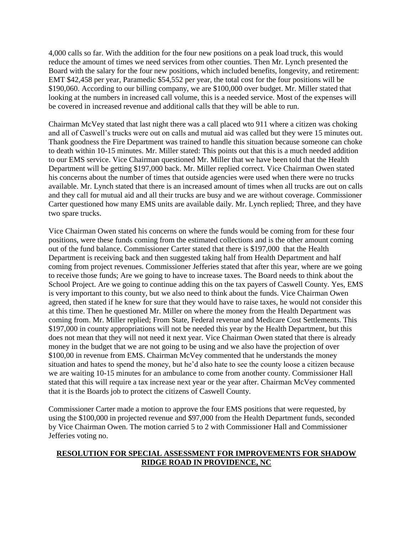4,000 calls so far. With the addition for the four new positions on a peak load truck, this would reduce the amount of times we need services from other counties. Then Mr. Lynch presented the Board with the salary for the four new positions, which included benefits, longevity, and retirement: EMT \$42,458 per year, Paramedic \$54,552 per year, the total cost for the four positions will be \$190,060. According to our billing company, we are \$100,000 over budget. Mr. Miller stated that looking at the numbers in increased call volume, this is a needed service. Most of the expenses will be covered in increased revenue and additional calls that they will be able to run.

Chairman McVey stated that last night there was a call placed wto 911 where a citizen was choking and all of Caswell's trucks were out on calls and mutual aid was called but they were 15 minutes out. Thank goodness the Fire Department was trained to handle this situation because someone can choke to death within 10-15 minutes. Mr. Miller stated: This points out that this is a much needed addition to our EMS service. Vice Chairman questioned Mr. Miller that we have been told that the Health Department will be getting \$197,000 back. Mr. Miller replied correct. Vice Chairman Owen stated his concerns about the number of times that outside agencies were used when there were no trucks available. Mr. Lynch stated that there is an increased amount of times when all trucks are out on calls and they call for mutual aid and all their trucks are busy and we are without coverage. Commissioner Carter questioned how many EMS units are available daily. Mr. Lynch replied; Three, and they have two spare trucks.

Vice Chairman Owen stated his concerns on where the funds would be coming from for these four positions, were these funds coming from the estimated collections and is the other amount coming out of the fund balance. Commissioner Carter stated that there is \$197,000 that the Health Department is receiving back and then suggested taking half from Health Department and half coming from project revenues. Commissioner Jefferies stated that after this year, where are we going to receive those funds; Are we going to have to increase taxes. The Board needs to think about the School Project. Are we going to continue adding this on the tax payers of Caswell County. Yes, EMS is very important to this county, but we also need to think about the funds. Vice Chairman Owen agreed, then stated if he knew for sure that they would have to raise taxes, he would not consider this at this time. Then he questioned Mr. Miller on where the money from the Health Department was coming from. Mr. Miller replied; From State, Federal revenue and Medicare Cost Settlements. This \$197,000 in county appropriations will not be needed this year by the Health Department, but this does not mean that they will not need it next year. Vice Chairman Owen stated that there is already money in the budget that we are not going to be using and we also have the projection of over \$100,00 in revenue from EMS. Chairman McVey commented that he understands the money situation and hates to spend the money, but he'd also hate to see the county loose a citizen because we are waiting 10-15 minutes for an ambulance to come from another county. Commissioner Hall stated that this will require a tax increase next year or the year after. Chairman McVey commented that it is the Boards job to protect the citizens of Caswell County.

Commissioner Carter made a motion to approve the four EMS positions that were requested, by using the \$100,000 in projected revenue and \$97,000 from the Health Department funds, seconded by Vice Chairman Owen. The motion carried 5 to 2 with Commissioner Hall and Commissioner Jefferies voting no.

### **RESOLUTION FOR SPECIAL ASSESSMENT FOR IMPROVEMENTS FOR SHADOW RIDGE ROAD IN PROVIDENCE, NC**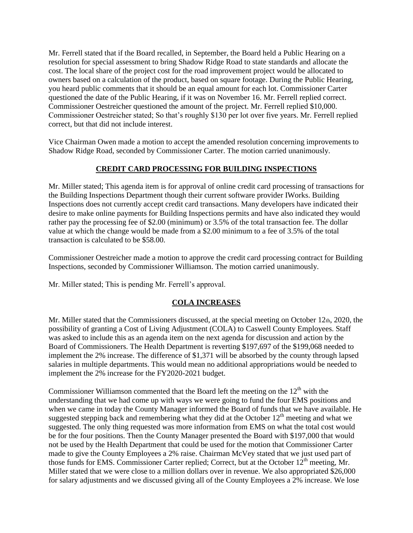Mr. Ferrell stated that if the Board recalled, in September, the Board held a Public Hearing on a resolution for special assessment to bring Shadow Ridge Road to state standards and allocate the cost. The local share of the project cost for the road improvement project would be allocated to owners based on a calculation of the product, based on square footage. During the Public Hearing, you heard public comments that it should be an equal amount for each lot. Commissioner Carter questioned the date of the Public Hearing, if it was on November 16. Mr. Ferrell replied correct. Commissioner Oestreicher questioned the amount of the project. Mr. Ferrell replied \$10,000. Commissioner Oestreicher stated; So that's roughly \$130 per lot over five years. Mr. Ferrell replied correct, but that did not include interest.

Vice Chairman Owen made a motion to accept the amended resolution concerning improvements to Shadow Ridge Road, seconded by Commissioner Carter. The motion carried unanimously.

### **CREDIT CARD PROCESSING FOR BUILDING INSPECTIONS**

Mr. Miller stated; This agenda item is for approval of online credit card processing of transactions for the Building Inspections Department though their current software provider IWorks. Building Inspections does not currently accept credit card transactions. Many developers have indicated their desire to make online payments for Building Inspections permits and have also indicated they would rather pay the processing fee of \$2.00 (minimum) or 3.5% of the total transaction fee. The dollar value at which the change would be made from a \$2.00 minimum to a fee of 3.5% of the total transaction is calculated to be \$58.00.

Commissioner Oestreicher made a motion to approve the credit card processing contract for Building Inspections, seconded by Commissioner Williamson. The motion carried unanimously.

Mr. Miller stated; This is pending Mr. Ferrell's approval.

### **COLA INCREASES**

Mr. Miller stated that the Commissioners discussed, at the special meeting on October 12th, 2020, the possibility of granting a Cost of Living Adjustment (COLA) to Caswell County Employees. Staff was asked to include this as an agenda item on the next agenda for discussion and action by the Board of Commissioners. The Health Department is reverting \$197,697 of the \$199,068 needed to implement the 2% increase. The difference of \$1,371 will be absorbed by the county through lapsed salaries in multiple departments. This would mean no additional appropriations would be needed to implement the 2% increase for the FY2020-2021 budget.

Commissioner Williamson commented that the Board left the meeting on the  $12<sup>th</sup>$  with the understanding that we had come up with ways we were going to fund the four EMS positions and when we came in today the County Manager informed the Board of funds that we have available. He suggested stepping back and remembering what they did at the October  $12<sup>th</sup>$  meeting and what we suggested. The only thing requested was more information from EMS on what the total cost would be for the four positions. Then the County Manager presented the Board with \$197,000 that would not be used by the Health Department that could be used for the motion that Commissioner Carter made to give the County Employees a 2% raise. Chairman McVey stated that we just used part of those funds for EMS. Commissioner Carter replied; Correct, but at the October 12<sup>th</sup> meeting, Mr. Miller stated that we were close to a million dollars over in revenue. We also appropriated \$26,000 for salary adjustments and we discussed giving all of the County Employees a 2% increase. We lose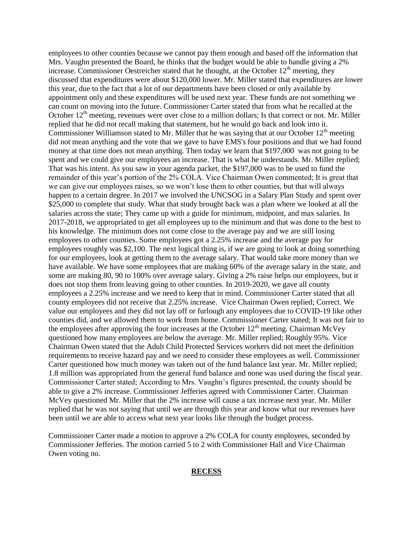employees to other counties because we cannot pay them enough and based off the information that Mrs. Vaughn presented the Board, he thinks that the budget would be able to handle giving a 2% increase. Commissioner Oestreicher stated that he thought, at the October  $12<sup>th</sup>$  meeting, they discussed that expenditures were about \$120,000 lower. Mr. Miller stated that expenditures are lower this year, due to the fact that a lot of our departments have been closed or only available by appointment only and these expenditures will be used next year. These funds are not something we can count on moving into the future. Commissioner Carter stated that from what he recalled at the October  $12<sup>th</sup>$  meeting, revenues were over close to a million dollars; Is that correct or not. Mr. Miller replied that he did not recall making that statement, but he would go back and look into it. Commissioner Williamson stated to Mr. Miller that he was saying that at our October  $12<sup>th</sup>$  meeting did not mean anything and the vote that we gave to have EMS's four positions and that we had found money at that time does not mean anything. Then today we learn that \$197,000 was not going to be spent and we could give our employees an increase. That is what he understands. Mr. Miller replied; That was his intent. As you saw in your agenda packet, the \$197,000 was to be used to fund the remainder of this year's portion of the 2% COLA. Vice Chairman Owen commented; It is great that we can give our employees raises, so we won't lose them to other counties, but that will always happen to a certain degree. In 2017 we involved the UNCSOG in a Salary Plan Study and spent over \$25,000 to complete that study. What that study brought back was a plan where we looked at all the salaries across the state; They came up with a guide for minimum, midpoint, and max salaries. In 2017-2018, we appropriated to get all employees up to the minimum and that was done to the best to his knowledge. The minimum does not come close to the average pay and we are still losing employees to other counties. Some employees got a 2.25% increase and the average pay for employees roughly was \$2,100. The next logical thing is, if we are going to look at doing something for our employees, look at getting them to the average salary. That would take more money than we have available. We have some employees that are making 60% of the average salary in the state, and some are making 80, 90 to 100% over average salary. Giving a 2% raise helps our employees, but it does not stop them from leaving going to other counties. In 2019-2020, we gave all county employees a 2.25% increase and we need to keep that in mind. Commissioner Carter stated that all county employees did not receive that 2.25% increase. Vice Chairman Owen replied; Correct. We value our employees and they did not lay off or furlough any employees due to COVID-19 like other counties did, and we allowed them to work from home. Commissioner Carter stated; It was not fair to the employees after approving the four increases at the October  $12<sup>th</sup>$  meeting. Chairman McVey questioned how many employees are below the average. Mr. Miller replied; Roughly 95%. Vice Chairman Owen stated that the Adult Child Protected Services workers did not meet the definition requirements to receive hazard pay and we need to consider these employees as well. Commissioner Carter questioned how much money was taken out of the fund balance last year. Mr. Miller replied; 1.8 million was appropriated from the general fund balance and none was used during the fiscal year. Commissioner Carter stated; According to Mrs. Vaughn's figures presented, the county should be able to give a 2% increase. Commissioner Jefferies agreed with Commissioner Carter. Chairman McVey questioned Mr. Miller that the 2% increase will cause a tax increase next year. Mr. Miller replied that he was not saying that until we are through this year and know what our revenues have been until we are able to access what next year looks like through the budget process.

Commissioner Carter made a motion to approve a 2% COLA for county employees, seconded by Commissioner Jefferies. The motion carried 5 to 2 with Commissioner Hall and Vice Chairman Owen voting no.

#### **RECESS**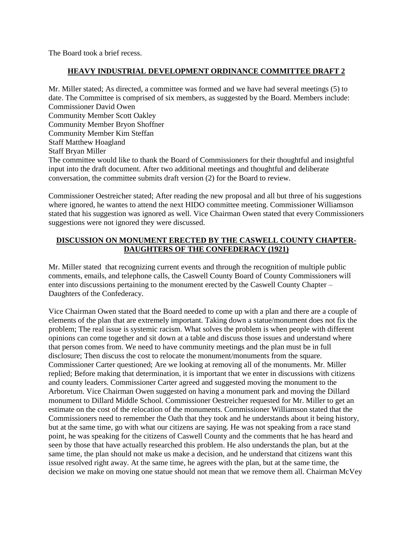The Board took a brief recess.

#### **HEAVY INDUSTRIAL DEVELOPMENT ORDINANCE COMMITTEE DRAFT 2**

Mr. Miller stated; As directed, a committee was formed and we have had several meetings (5) to date. The Committee is comprised of six members, as suggested by the Board. Members include: Commissioner David Owen Community Member Scott Oakley Community Member Bryon Shoffner Community Member Kim Steffan Staff Matthew Hoagland Staff Bryan Miller The committee would like to thank the Board of Commissioners for their thoughtful and insightful input into the draft document. After two additional meetings and thoughtful and deliberate conversation, the committee submits draft version (2) for the Board to review.

Commissioner Oestreicher stated; After reading the new proposal and all but three of his suggestions where ignored, he wantes to attend the next HIDO committee meeting. Commissioner Williamson stated that his suggestion was ignored as well. Vice Chairman Owen stated that every Commissioners suggestions were not ignored they were discussed.

### **DISCUSSION ON MONUMENT ERECTED BY THE CASWELL COUNTY CHAPTER-DAUGHTERS OF THE CONFEDERACY (1921)**

Mr. Miller stated that recognizing current events and through the recognition of multiple public comments, emails, and telephone calls, the Caswell County Board of County Commissioners will enter into discussions pertaining to the monument erected by the Caswell County Chapter – Daughters of the Confederacy.

Vice Chairman Owen stated that the Board needed to come up with a plan and there are a couple of elements of the plan that are extremely important. Taking down a statue/monument does not fix the problem; The real issue is systemic racism. What solves the problem is when people with different opinions can come together and sit down at a table and discuss those issues and understand where that person comes from. We need to have community meetings and the plan must be in full disclosure; Then discuss the cost to relocate the monument/monuments from the square. Commissioner Carter questioned; Are we looking at removing all of the monuments. Mr. Miller replied; Before making that determination, it is important that we enter in discussions with citizens and county leaders. Commissioner Carter agreed and suggested moving the monument to the Arboretum. Vice Chairman Owen suggested on having a monument park and moving the Dillard monument to Dillard Middle School. Commissioner Oestreicher requested for Mr. Miller to get an estimate on the cost of the relocation of the monuments. Commissioner Williamson stated that the Commissioners need to remember the Oath that they took and he understands about it being history, but at the same time, go with what our citizens are saying. He was not speaking from a race stand point, he was speaking for the citizens of Caswell County and the comments that he has heard and seen by those that have actually researched this problem. He also understands the plan, but at the same time, the plan should not make us make a decision, and he understand that citizens want this issue resolved right away. At the same time, he agrees with the plan, but at the same time, the decision we make on moving one statue should not mean that we remove them all. Chairman McVey